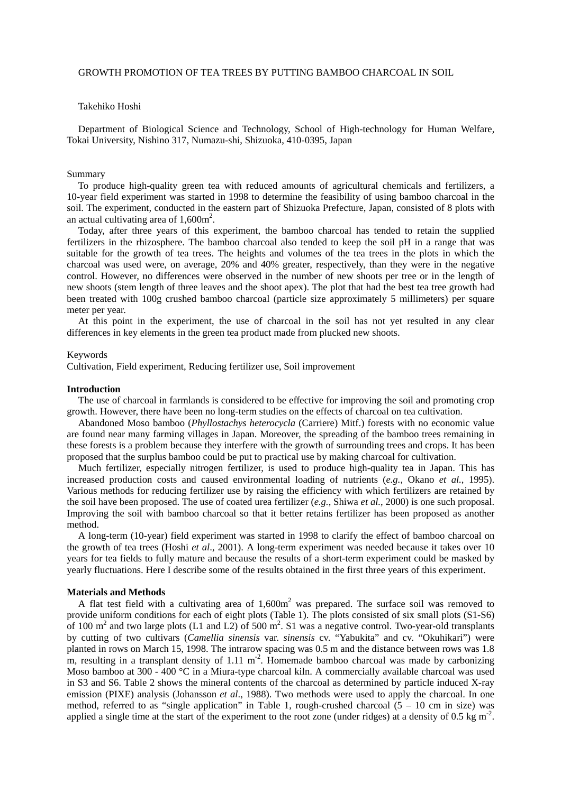## Takehiko Hoshi

 Department of Biological Science and Technology, School of High-technology for Human Welfare, Tokai University, Nishino 317, Numazu-shi, Shizuoka, 410-0395, Japan

#### Summary

 To produce high-quality green tea with reduced amounts of agricultural chemicals and fertilizers, a 10-year field experiment was started in 1998 to determine the feasibility of using bamboo charcoal in the soil. The experiment, conducted in the eastern part of Shizuoka Prefecture, Japan, consisted of 8 plots with an actual cultivating area of  $1,600$ m<sup>2</sup>.

 Today, after three years of this experiment, the bamboo charcoal has tended to retain the supplied fertilizers in the rhizosphere. The bamboo charcoal also tended to keep the soil pH in a range that was suitable for the growth of tea trees. The heights and volumes of the tea trees in the plots in which the charcoal was used were, on average, 20% and 40% greater, respectively, than they were in the negative control. However, no differences were observed in the number of new shoots per tree or in the length of new shoots (stem length of three leaves and the shoot apex). The plot that had the best tea tree growth had been treated with 100g crushed bamboo charcoal (particle size approximately 5 millimeters) per square meter per year.

 At this point in the experiment, the use of charcoal in the soil has not yet resulted in any clear differences in key elements in the green tea product made from plucked new shoots.

#### Keywords

Cultivation, Field experiment, Reducing fertilizer use, Soil improvement

## **Introduction**

 The use of charcoal in farmlands is considered to be effective for improving the soil and promoting crop growth. However, there have been no long-term studies on the effects of charcoal on tea cultivation.

 Abandoned Moso bamboo (*Phyllostachys heterocycla* (Carriere) Mitf.) forests with no economic value are found near many farming villages in Japan. Moreover, the spreading of the bamboo trees remaining in these forests is a problem because they interfere with the growth of surrounding trees and crops. It has been proposed that the surplus bamboo could be put to practical use by making charcoal for cultivation.

 Much fertilizer, especially nitrogen fertilizer, is used to produce high-quality tea in Japan. This has increased production costs and caused environmental loading of nutrients (*e.g.*, Okano *et al.*, 1995). Various methods for reducing fertilizer use by raising the efficiency with which fertilizers are retained by the soil have been proposed. The use of coated urea fertilizer (*e.g.*, Shiwa *et al.*, 2000) is one such proposal. Improving the soil with bamboo charcoal so that it better retains fertilizer has been proposed as another method.

 A long-term (10-year) field experiment was started in 1998 to clarify the effect of bamboo charcoal on the growth of tea trees (Hoshi *et al*., 2001). A long-term experiment was needed because it takes over 10 years for tea fields to fully mature and because the results of a short-term experiment could be masked by yearly fluctuations. Here I describe some of the results obtained in the first three years of this experiment.

#### **Materials and Methods**

A flat test field with a cultivating area of  $1,600m^2$  was prepared. The surface soil was removed to provide uniform conditions for each of eight plots (Table 1). The plots consisted of six small plots (S1-S6) of 100 m<sup>2</sup> and two large plots (L1 and L2) of 500 m<sup>2</sup>. S1 was a negative control. Two-year-old transplants by cutting of two cultivars (*Camellia sinensis* var. *sinensis* cv. "Yabukita" and cv. "Okuhikari") were planted in rows on March 15, 1998. The intrarow spacing was 0.5 m and the distance between rows was 1.8 m, resulting in a transplant density of  $1.11 \text{ m}^2$ . Homemade bamboo charcoal was made by carbonizing Moso bamboo at 300 - 400 °C in a Miura-type charcoal kiln. A commercially available charcoal was used in S3 and S6. Table 2 shows the mineral contents of the charcoal as determined by particle induced X-ray emission (PIXE) analysis (Johansson *et al*., 1988). Two methods were used to apply the charcoal. In one method, referred to as "single application" in Table 1, rough-crushed charcoal  $(5 - 10 \text{ cm})$  in size) was applied a single time at the start of the experiment to the root zone (under ridges) at a density of 0.5 kg  $m^2$ .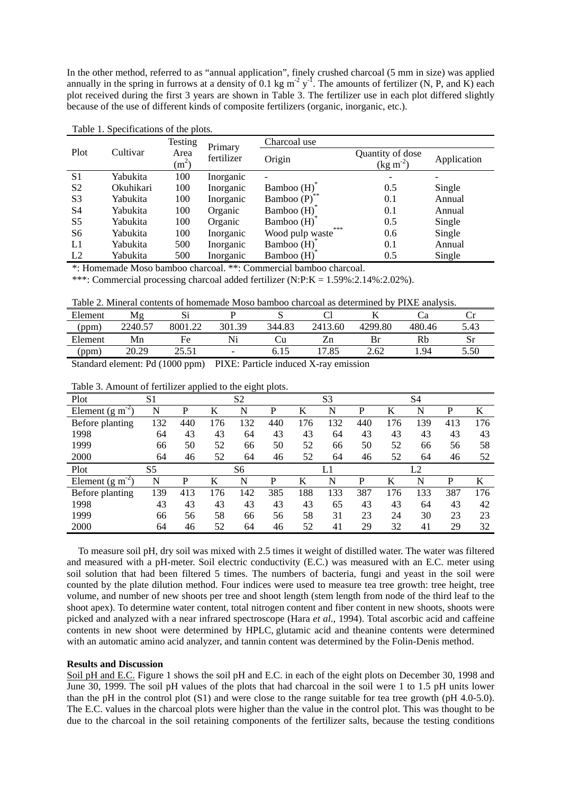In the other method, referred to as "annual application", finely crushed charcoal (5 mm in size) was applied annually in the spring in furrows at a density of 0.1 kg  $m^2 y$ <sup>-I</sup>. The amounts of fertilizer (N, P, and K) each plot received during the first 3 years are shown in Table 3. The fertilizer use in each plot differed slightly because of the use of different kinds of composite fertilizers (organic, inorganic, etc.).

|                |           | <b>Testing</b>            | Primary    | Charcoal use           |                                          |                          |
|----------------|-----------|---------------------------|------------|------------------------|------------------------------------------|--------------------------|
| Plot           | Cultivar  | Area<br>(m <sup>2</sup> ) | fertilizer | Origin                 | Quantity of dose<br>$(\text{kg m}^{-2})$ | Application              |
| S <sub>1</sub> | Yabukita  | 100                       | Inorganic  |                        | -                                        | $\overline{\phantom{0}}$ |
| S <sub>2</sub> | Okuhikari | 100                       | Inorganic  | Bamboo $(H)$           | 0.5                                      | Single                   |
| S <sub>3</sub> | Yabukita  | 100                       | Inorganic  | Bamboo $(P)$           | 0.1                                      | Annual                   |
| S <sub>4</sub> | Yabukita  | 100                       | Organic    | Bamboo (H)             | 0.1                                      | Annual                   |
| S <sub>5</sub> | Yabukita  | 100                       | Organic    | Bamboo (H)             | 0.5                                      | Single                   |
| S <sub>6</sub> | Yabukita  | 100                       | Inorganic  | ***<br>Wood pulp waste | 0.6                                      | Single                   |
| L1             | Yabukita  | 500                       | Inorganic  | Bamboo (H)             | 0.1                                      | Annual                   |
| L2             | Yabukita  | 500                       | Inorganic  | Bamboo (H)             | 0.5                                      | Single                   |

Table 1. Specifications of the plots.

\*: Homemade Moso bamboo charcoal. \*\*: Commercial bamboo charcoal.

\*\*\*: Commercial processing charcoal added fertilizer (N:P:K = 1.59%:2.14%:2.02%).

Table 2. Mineral contents of homemade Moso bamboo charcoal as determined by PIXE analysis.

| Element       | Mg                    | ມ             |                          | ັ      |                       |         |        |      |
|---------------|-----------------------|---------------|--------------------------|--------|-----------------------|---------|--------|------|
| 'ppm          | 2240.57               | 8001.22       | 301<br>.39               | 344.83 | 2413.60               | 4299.80 | 480.46 | 5.43 |
| Element       | Mn                    | Fe            | Ni                       |        | ∠n                    | Br      | Rb     | Sı   |
| ppm           | 20.29                 | つち ちつ<br>ر رے | $\overline{\phantom{0}}$ | 0. I J | .85<br>$\overline{ }$ | 2.62    | . 94   | 5.50 |
| $\sim$ $\sim$ | $\sqrt{2}$ $\sqrt{2}$ |               | $\mathbf{r}$             |        | $\mathbf{v}$          |         |        |      |

Standard element: Pd (1000 ppm) PIXE: Particle induced X-ray emission

| Plot                         | S <sub>1</sub> |     |     | S <sub>2</sub> |     |     | S <sub>3</sub> |     |     | S4  |     |     |
|------------------------------|----------------|-----|-----|----------------|-----|-----|----------------|-----|-----|-----|-----|-----|
| Element (g m                 | N              | P   | K   | N              | P   | K   | N              | P   | K   | N   | P   | K   |
| Before planting              | 132            | 440 | 176 | 132            | 440 | 176 | 132            | 440 | 176 | 139 | 413 | 176 |
| 1998                         | 64             | 43  | 43  | 64             | 43  | 43  | 64             | 43  | 43  | 43  | 43  | 43  |
| 1999                         | 66             | 50  | 52  | 66             | 50  | 52  | 66             | 50  | 52  | 66  | 56  | 58  |
| 2000                         | 64             | 46  | 52  | 64             | 46  | 52  | 64             | 46  | 52  | 64  | 46  | 52  |
| Plot                         | S <sub>5</sub> |     |     | S <sub>6</sub> |     |     | L1             |     |     | L2  |     |     |
| Element $(g \text{ m}^{-2})$ | N              | P   | K   | N              | P   | K   | N              | P   | K   | N   | P   | K   |
| Before planting              | 139            | 413 | 176 | 142            | 385 | 188 | 133            | 387 | 176 | 133 | 387 | 176 |
| 1998                         | 43             | 43  | 43  | 43             | 43  | 43  | 65             | 43  | 43  | 64  | 43  | 42  |
| 1999                         | 66             | 56  | 58  | 66             | 56  | 58  | 31             | 23  | 24  | 30  | 23  | 23  |
| 2000                         | 64             | 46  | 52  | 64             | 46  | 52  | 41             | 29  | 32  | 41  | 29  | 32  |

Table 3. Amount of fertilizer applied to the eight plots.

 To measure soil pH, dry soil was mixed with 2.5 times it weight of distilled water. The water was filtered and measured with a pH-meter. Soil electric conductivity (E.C.) was measured with an E.C. meter using soil solution that had been filtered 5 times. The numbers of bacteria, fungi and yeast in the soil were counted by the plate dilution method. Four indices were used to measure tea tree growth: tree height, tree volume, and number of new shoots per tree and shoot length (stem length from node of the third leaf to the shoot apex). To determine water content, total nitrogen content and fiber content in new shoots, shoots were picked and analyzed with a near infrared spectroscope (Hara *et al*., 1994). Total ascorbic acid and caffeine contents in new shoot were determined by HPLC, glutamic acid and theanine contents were determined with an automatic amino acid analyzer, and tannin content was determined by the Folin-Denis method.

# **Results and Discussion**

Soil pH and E.C. Figure 1 shows the soil pH and E.C. in each of the eight plots on December 30, 1998 and June 30, 1999. The soil pH values of the plots that had charcoal in the soil were 1 to 1.5 pH units lower than the pH in the control plot (S1) and were close to the range suitable for tea tree growth (pH 4.0-5.0). The E.C. values in the charcoal plots were higher than the value in the control plot. This was thought to be due to the charcoal in the soil retaining components of the fertilizer salts, because the testing conditions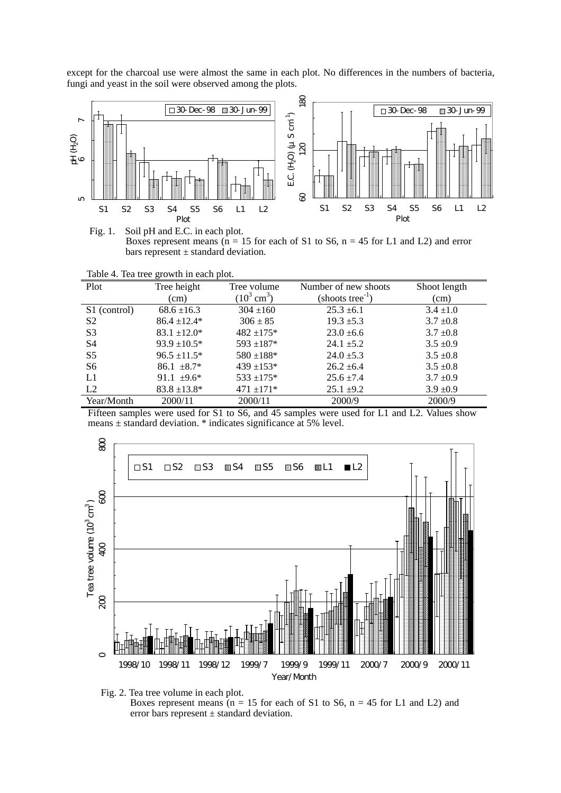except for the charcoal use were almost the same in each plot. No differences in the numbers of bacteria, fungi and yeast in the soil were observed among the plots.



Fig. 1. Soil pH and E.C. in each plot. Boxes represent means ( $n = 15$  for each of S1 to S6,  $n = 45$  for L1 and L2) and error bars represent  $\pm$  standard deviation.

| Table 4. Tea tree growth in each plot. |  |  |  |  |
|----------------------------------------|--|--|--|--|
|----------------------------------------|--|--|--|--|

| Plot           | Tree height       | Tree volume           | Number of new shoots       | Shoot length  |
|----------------|-------------------|-----------------------|----------------------------|---------------|
|                | (cm)              | $(10^3 \text{ cm}^3)$ | $(\text{shots tree}^{-1})$ | (cm)          |
| S1 (control)   | $68.6 \pm 16.3$   | $304 \pm 160$         | $25.3 \pm 6.1$             | $3.4 \pm 1.0$ |
| S <sub>2</sub> | $86.4 \pm 12.4*$  | $306 \pm 85$          | $19.3 \pm 5.3$             | $3.7 \pm 0.8$ |
| S <sub>3</sub> | $83.1 \pm 12.0^*$ | $482 + 175*$          | $23.0 \pm 6.6$             | $3.7 \pm 0.8$ |
| S <sub>4</sub> | $93.9 \pm 10.5^*$ | $593 + 187*$          | $24.1 \pm 5.2$             | $3.5 \pm 0.9$ |
| S <sub>5</sub> | $96.5 \pm 11.5^*$ | $580 \pm 188$ *       | $24.0 \pm 5.3$             | $3.5 \pm 0.8$ |
| S6             | $86.1 \pm 8.7^*$  | $439 + 153*$          | $26.2 \pm 6.4$             | $3.5 \pm 0.8$ |
| L1             | 91.1 $\pm$ 9.6*   | $533 \pm 175$ *       | $25.6 \pm 7.4$             | $3.7 \pm 0.9$ |
| L2             | $83.8 \pm 13.8^*$ | $471 \pm 171$ *       | $25.1 \pm 9.2$             | $3.9 \pm 0.9$ |
| Year/Month     | 2000/11           | 2000/11               | 2000/9                     | 2000/9        |

Fifteen samples were used for S1 to S6, and 45 samples were used for L1 and L2. Values show means ± standard deviation. \* indicates significance at 5% level.





Boxes represent means ( $n = 15$  for each of S1 to S6,  $n = 45$  for L1 and L2) and error bars represent  $\pm$  standard deviation.